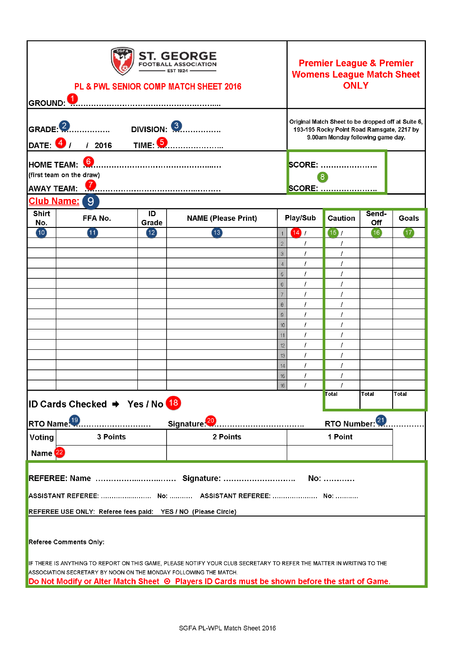| <b>ST. GEORGE</b><br><b>FOOTBALL ASSOCIATION</b><br>- EST 1924<br>PL & PWL SENIOR COMP MATCH SHEET 2016<br>GROUND: V.                                                                                                                                                                     |                                     |                 |                            |                                  | <b>Premier League &amp; Premier</b><br><b>Womens League Match Sheet</b><br><b>ONLY</b>                                                |                     |       |             |
|-------------------------------------------------------------------------------------------------------------------------------------------------------------------------------------------------------------------------------------------------------------------------------------------|-------------------------------------|-----------------|----------------------------|----------------------------------|---------------------------------------------------------------------------------------------------------------------------------------|---------------------|-------|-------------|
| <b>DIVISION: 3</b><br>GRADE: 2<br><b>TIME 6</b><br>DATE: <sup>4</sup><br>/2016                                                                                                                                                                                                            |                                     |                 |                            |                                  | Original Match Sheet to be dropped off at Suite 6,<br>193-195 Rocky Point Road Ramsgate, 2217 by<br>9.00am Monday following game day. |                     |       |             |
| HOME TEAM: 0                                                                                                                                                                                                                                                                              |                                     |                 |                            |                                  |                                                                                                                                       | <b>SCORE: </b>      |       |             |
| (first team on the draw)<br>Ø<br><b>AWAY TEAM:</b>                                                                                                                                                                                                                                        |                                     |                 |                            |                                  |                                                                                                                                       | 8<br><b>SCORE: </b> |       |             |
| <b>Shirt</b>                                                                                                                                                                                                                                                                              | <b>Club Name:</b><br>9 <sup>°</sup> | ID              |                            |                                  |                                                                                                                                       |                     | Send- |             |
| No.                                                                                                                                                                                                                                                                                       | FFA No.                             | Grade           | <b>NAME (Please Print)</b> |                                  | Play/Sub                                                                                                                              | <b>Caution</b>      | Off   | Goals       |
| (10)                                                                                                                                                                                                                                                                                      | $\blacksquare$                      | $\overline{12}$ | (13)                       |                                  | 14/                                                                                                                                   | (15)                | (16)  | $\sqrt{17}$ |
|                                                                                                                                                                                                                                                                                           |                                     |                 |                            | $\overline{2}$<br>$\overline{3}$ |                                                                                                                                       | T                   |       |             |
|                                                                                                                                                                                                                                                                                           |                                     |                 |                            | $\overline{4}$                   |                                                                                                                                       | I                   |       |             |
|                                                                                                                                                                                                                                                                                           |                                     |                 |                            | 5                                |                                                                                                                                       |                     |       |             |
|                                                                                                                                                                                                                                                                                           |                                     |                 |                            | 6                                |                                                                                                                                       |                     |       |             |
|                                                                                                                                                                                                                                                                                           |                                     |                 |                            | $\overline{7}$                   | 1                                                                                                                                     | 7                   |       |             |
|                                                                                                                                                                                                                                                                                           |                                     |                 |                            | $\theta$<br>$\overline{9}$       | I<br>I                                                                                                                                | 7                   |       |             |
|                                                                                                                                                                                                                                                                                           |                                     |                 |                            | 10                               |                                                                                                                                       | I                   |       |             |
|                                                                                                                                                                                                                                                                                           |                                     |                 |                            | 11                               |                                                                                                                                       |                     |       |             |
|                                                                                                                                                                                                                                                                                           |                                     |                 |                            | 12                               |                                                                                                                                       |                     |       |             |
|                                                                                                                                                                                                                                                                                           |                                     |                 |                            | 13                               |                                                                                                                                       |                     |       |             |
|                                                                                                                                                                                                                                                                                           |                                     |                 |                            | 14                               | I                                                                                                                                     | I                   |       |             |
|                                                                                                                                                                                                                                                                                           |                                     |                 |                            | 15<br>16                         | T<br>Ť                                                                                                                                | T<br>I              |       |             |
|                                                                                                                                                                                                                                                                                           |                                     |                 |                            |                                  |                                                                                                                                       | Total               | Total | lTotal      |
|                                                                                                                                                                                                                                                                                           | ID Cards Checked → Yes / No 18      |                 |                            |                                  |                                                                                                                                       |                     |       |             |
| RTO Name. <sup>19</sup><br>Signature <sup>20</sup>                                                                                                                                                                                                                                        |                                     |                 |                            |                                  | RTO Number: 21                                                                                                                        |                     |       |             |
| Voting                                                                                                                                                                                                                                                                                    | 3 Points                            |                 | 2 Points                   |                                  |                                                                                                                                       | 1 Point             |       |             |
| Name <sup>22</sup>                                                                                                                                                                                                                                                                        |                                     |                 |                            |                                  |                                                                                                                                       |                     |       |             |
|                                                                                                                                                                                                                                                                                           |                                     |                 |                            |                                  |                                                                                                                                       |                     |       |             |
|                                                                                                                                                                                                                                                                                           |                                     |                 |                            |                                  |                                                                                                                                       |                     |       |             |
| REFEREE USE ONLY: Referee fees paid: YES / NO (Please Circle)                                                                                                                                                                                                                             |                                     |                 |                            |                                  |                                                                                                                                       |                     |       |             |
| Referee Comments Only:                                                                                                                                                                                                                                                                    |                                     |                 |                            |                                  |                                                                                                                                       |                     |       |             |
| IF THERE IS ANYTHING TO REPORT ON THIS GAME, PLEASE NOTIFY YOUR CLUB SECRETARY TO REFER THE MATTER IN WRITING TO THE<br>ASSOCIATION SECRETARY BY NOON ON THE MONDAY FOLLOWING THE MATCH.<br>Do Not Modify or Alter Match Sheet ⊙ Players ID Cards must be shown before the start of Game. |                                     |                 |                            |                                  |                                                                                                                                       |                     |       |             |